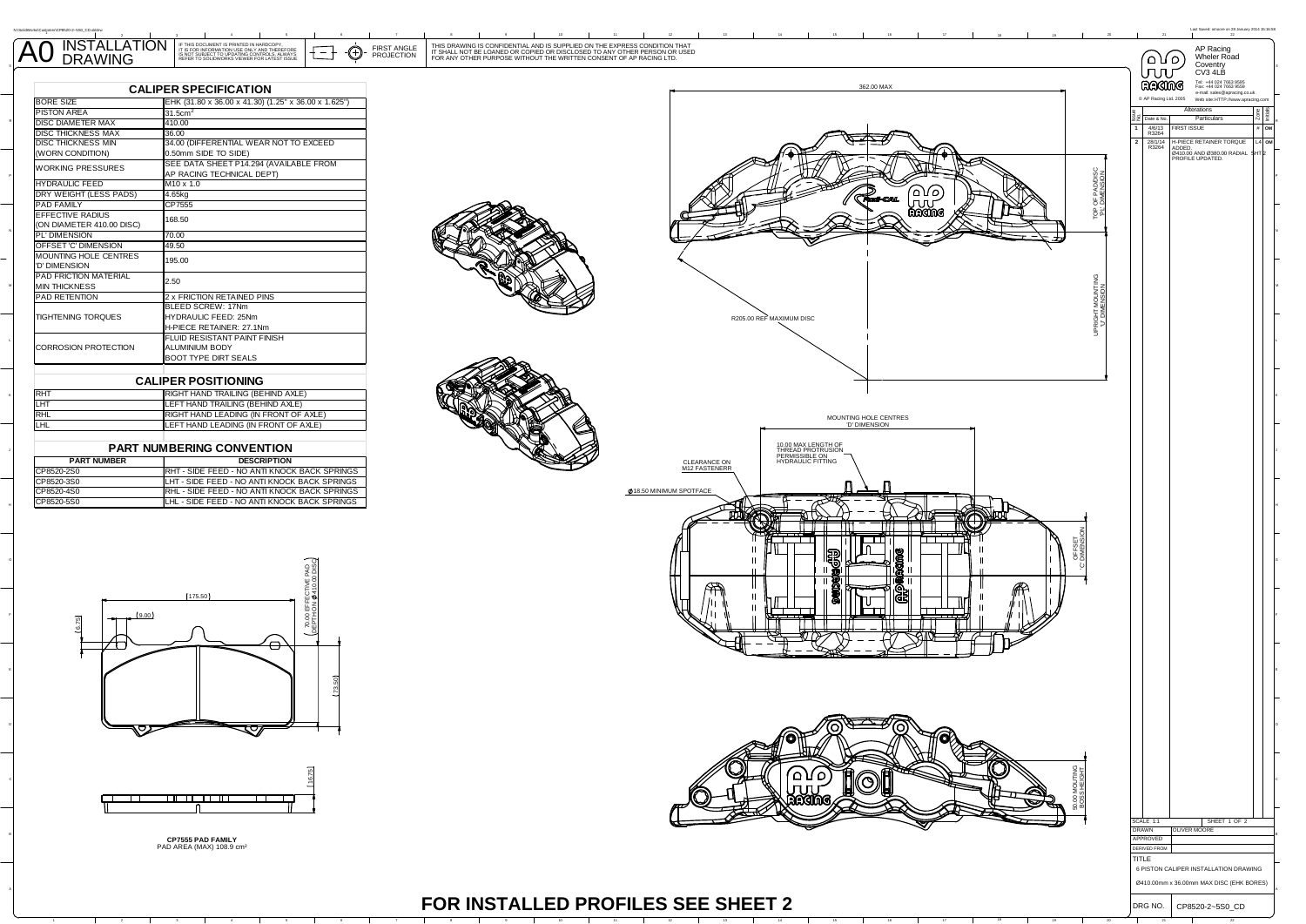| <b>TALLATION</b><br>INSTALI<br>A0<br><b>DRAWING</b> | <b>FIRST ANGLE</b><br>PROJECTION | THIS DRAWING IS CONFIDENTIAL AND IS SUPPLIED ON THE EXPRESS CONDITION THAT IT SHALL NOT BE LOANED OR COPIED OR DISCLOSED TO ANY OTHER PERSON OR USED<br>FOR ANY OTHER PURPOSE WITHOUT THE WRITTEN CONSENT OF AP RACING LTD. |        |  |
|-----------------------------------------------------|----------------------------------|-----------------------------------------------------------------------------------------------------------------------------------------------------------------------------------------------------------------------------|--------|--|
|                                                     |                                  |                                                                                                                                                                                                                             | $\Box$ |  |

| <b>CALIPER SPECIFICATION</b>                         |                                                                     |  |  |  |
|------------------------------------------------------|---------------------------------------------------------------------|--|--|--|
| <b>BORE SIZE</b>                                     | EHK (31.80 x 36.00 x 41.30) (1.25" x 36.00 x 1.625")                |  |  |  |
| PISTON AREA                                          | 31.5cm <sup>2</sup>                                                 |  |  |  |
| DISC DIAMETER MAX                                    | 410.00                                                              |  |  |  |
| DISC THICKNESS MAX                                   | 36.00                                                               |  |  |  |
| <b>DISC THICKNESS MIN</b>                            | 34.00 (DIFFERENTIAL WEAR NOT TO EXCEED                              |  |  |  |
| (WORN CONDITION)                                     | 0.50mm SIDE TO SIDE)                                                |  |  |  |
| WORKING PRESSURES                                    | SEE DATA SHEET P14.294 (AVAILABLE FROM<br>AP RACING TECHNICAL DEPT) |  |  |  |
| <b>HYDRAULIC FEED</b>                                | $M10 \times 1.0$                                                    |  |  |  |
| DRY WEIGHT (LESS PADS)                               | 4.65kg                                                              |  |  |  |
| <b>PAD FAMILY</b>                                    | CP7555                                                              |  |  |  |
| <b>EFFECTIVE RADIUS</b><br>(ON DIAMETER 410.00 DISC) | 168.50                                                              |  |  |  |
| PL' DIMENSION                                        | 70.00                                                               |  |  |  |
| OFFSET 'C' DIMENSION                                 | 49.50                                                               |  |  |  |
| MOUNTING HOLE CENTRES<br>'D' DIMENSION               | 195.00                                                              |  |  |  |
| PAD FRICTION MATERIAL<br><b>MIN THICKNESS</b>        | 2.50                                                                |  |  |  |
| PAD RETENTION                                        | <b>2 x FRICTION RETAINED PINS</b>                                   |  |  |  |
|                                                      | BLEED SCREW: 17Nm                                                   |  |  |  |
| TIGHTENING TOROUES                                   | HYDRAULIC FEED: 25Nm                                                |  |  |  |
|                                                      | H-PIECE RETAINER: 27.1Nm                                            |  |  |  |
|                                                      | <b>FLUID RESISTANT PAINT FINISH</b>                                 |  |  |  |
| CORROSION PROTECTION                                 | ALUMINIUM BODY                                                      |  |  |  |
|                                                      | <b>BOOT TYPE DIRT SEALS</b>                                         |  |  |  |

L

N:\SolidWorks\Customer\CP8520-2~5S0\_CD.slddrw

| <b>RHT</b> | RIGHT HAND TRAILING (BEHIND AXLE)            |
|------------|----------------------------------------------|
| <b>LHT</b> | LEFT HAND TRAILING (BEHIND AXLE)             |
| RHL        | <b>RIGHT HAND LEADING (IN FRONT OF AXLE)</b> |
| Iщ         | <b>ILEFT HAND LEADING (IN FRONT OF AXLE)</b> |
|            |                                              |

## **PART NUMBERING CONVENTION**

| <b>PART NUMBER</b> | <b>DESCRIPTION</b>                                   |  |  |
|--------------------|------------------------------------------------------|--|--|
| CP8520-2S0         | <b>IRHT - SIDE FEED - NO ANTI KNOCK BACK SPRINGS</b> |  |  |
| CP8520-3S0         | LHT - SIDE FEED - NO ANTI KNOCK BACK SPRINGS         |  |  |
| CP8520-4S0         | <b>RHL - SIDE FEED - NO ANTI KNOCK BACK SPRINGS</b>  |  |  |
| CP8520-5S0         | LHL - SIDE FEED - NO ANTI KNOCK BACK SPRINGS         |  |  |





**CP7555 PAD FAMILY** PAD AREA (MAX) 108.9 cm²

 $\overline{a}$ 



<sup>4</sup> <sup>5</sup> <sup>6</sup> <sup>7</sup> <sup>8</sup> <sup>9</sup> <sup>10</sup> <sup>11</sup> <sup>12</sup> <sup>13</sup> <sup>14</sup> <sup>15</sup> <sup>16</sup> <sup>17</sup> <sup>18</sup> <sup>19</sup> <sup>20</sup> <sup>21</sup> <sup>22</sup>

DRG NO. CP8520-2~5S0\_CD